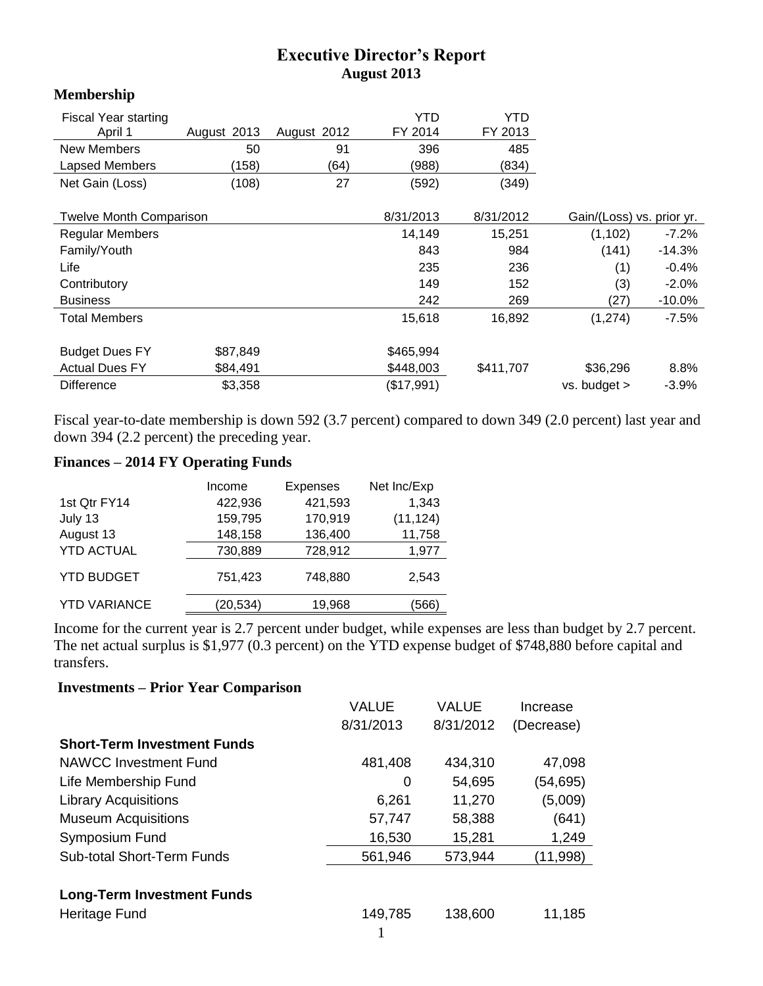## **Executive Director's Report August 2013**

| <b>Membership</b>              |             |             |            |                           |              |           |
|--------------------------------|-------------|-------------|------------|---------------------------|--------------|-----------|
| Fiscal Year starting           |             |             | YTD        | YTD                       |              |           |
| April 1                        | August 2013 | August 2012 | FY 2014    | FY 2013                   |              |           |
| <b>New Members</b>             | 50          | 91          | 396        | 485                       |              |           |
| <b>Lapsed Members</b>          | (158)       | (64)        | (988)      | (834)                     |              |           |
| Net Gain (Loss)                | (108)       | 27          | (592)      | (349)                     |              |           |
| <b>Twelve Month Comparison</b> |             | 8/31/2013   | 8/31/2012  | Gain/(Loss) vs. prior yr. |              |           |
| <b>Regular Members</b>         |             |             | 14,149     | 15,251                    | (1, 102)     | $-7.2\%$  |
| Family/Youth                   |             |             | 843        | 984                       | (141)        | $-14.3%$  |
| Life                           |             |             | 235        | 236                       | (1)          | $-0.4%$   |
| Contributory                   |             |             | 149        | 152                       | (3)          | $-2.0%$   |
| <b>Business</b>                |             |             | 242        | 269                       | (27)         | $-10.0\%$ |
| <b>Total Members</b>           |             |             | 15,618     | 16,892                    | (1, 274)     | $-7.5\%$  |
| <b>Budget Dues FY</b>          | \$87,849    |             | \$465,994  |                           |              |           |
| <b>Actual Dues FY</b>          | \$84,491    |             | \$448,003  | \$411,707                 | \$36,296     | 8.8%      |
| <b>Difference</b>              | \$3,358     |             | (\$17,991) |                           | vs. budget > | $-3.9%$   |

Fiscal year-to-date membership is down 592 (3.7 percent) compared to down 349 (2.0 percent) last year and down 394 (2.2 percent) the preceding year.

## **Finances – 2014 FY Operating Funds**

|                     | Income    | <b>Expenses</b> | Net Inc/Exp |
|---------------------|-----------|-----------------|-------------|
| 1st Qtr FY14        | 422,936   | 421,593         | 1,343       |
| July 13             | 159,795   | 170,919         | (11, 124)   |
| August 13           | 148,158   | 136,400         | 11,758      |
| <b>YTD ACTUAL</b>   | 730,889   | 728,912         | 1,977       |
| <b>YTD BUDGET</b>   | 751,423   | 748,880         | 2.543       |
| <b>YTD VARIANCE</b> | (20, 534) | 19,968          | (566)       |

Income for the current year is 2.7 percent under budget, while expenses are less than budget by 2.7 percent. The net actual surplus is \$1,977 (0.3 percent) on the YTD expense budget of \$748,880 before capital and transfers.

## **Investments – Prior Year Comparison**

|                                    | VALUE     | <b>VALUE</b> | Increase   |
|------------------------------------|-----------|--------------|------------|
|                                    | 8/31/2013 | 8/31/2012    | (Decrease) |
| <b>Short-Term Investment Funds</b> |           |              |            |
| NAWCC Investment Fund              | 481,408   | 434,310      | 47,098     |
| Life Membership Fund               | 0         | 54,695       | (54,695)   |
| <b>Library Acquisitions</b>        | 6,261     | 11,270       | (5,009)    |
| <b>Museum Acquisitions</b>         | 57,747    | 58,388       | (641)      |
| Symposium Fund                     | 16,530    | 15,281       | 1,249      |
| <b>Sub-total Short-Term Funds</b>  | 561,946   | 573,944      | (11,998)   |
|                                    |           |              |            |
| <b>Long-Term Investment Funds</b>  |           |              |            |
| Heritage Fund                      | 149,785   | 138,600      | 11,185     |
|                                    |           |              |            |